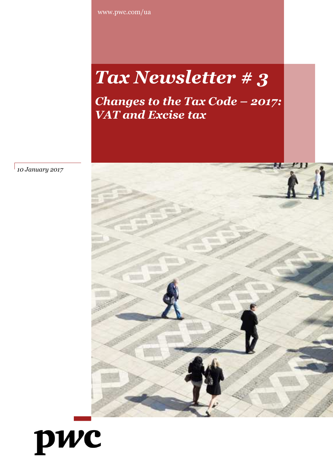www.pwc.com/ua

# *Tax Newsletter # 3*

*Changes to the Tax Code – 2017: VAT and Excise tax*



*10 January 2017*

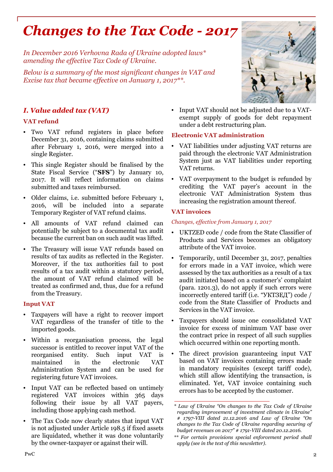# *Changes to the Tax Code - 2017*

*In December 2016 Verhovna Rada of Ukraine adopted laws\* amending the effective Tax Code of Ukraine.*

*Below is a summary of the most significant changes in VAT and Excise tax that became effective on January 1, 2017\*\*.*

# *I. Value added tax (VAT)*

#### **VAT refund**

- Two VAT refund registers in place before December 31, 2016, containing claims submitted after February 1, 2016, were merged into a single Register.
- This single Register should be finalised by the State Fiscal Service ("**SFS**") by January 10, 2017. It will reflect information on claims submitted and taxes reimbursed.
- Older claims, i.e. submitted before February 1, 2016, will be included into a separate Temporary Register of VAT refund claims.
- All amounts of VAT refund claimed can potentially be subject to a documental tax audit because the current ban on such audit was lifted.
- The Treasury will issue VAT refunds based on results of tax audits as reflected in the Register. Moreover, if the tax authorities fail to post results of a tax audit within a statutory period, the amount of VAT refund claimed will be treated as confirmed and, thus, due for a refund from the Treasury.

## **Input VAT**

- Taxpayers will have a right to recover import VAT regardless of the transfer of title to the imported goods.
- Within a reorganisation process, the legal successor is entitled to recover input VAT of the reorganised entity. Such input VAT is maintained in the electronic VAT Administration System and can be used for registering future VAT invoices.
- Input VAT can be reflected based on untimely registered VAT invoices within 365 days following their issue by all VAT payers, including those applying cash method.
- The Tax Code now clearly states that input VAT is not adjusted under Article 198.5 if fixed assets are liquidated, whether it was done voluntarily by the owner-taxpayer or against their will.

• Input VAT should not be adjusted due to a VATexempt supply of goods for debt repayment under a debt restructuring plan.

#### **Electronic VAT administration**

- VAT liabilities under adjusting VAT returns are paid through the electronic VAT Administration System just as VAT liabilities under reporting VAT returns.
- VAT overpayment to the budget is refunded by crediting the VAT payer's account in the electronic VAT Administration System thus increasing the registration amount thereof.

## **VAT invoices**

#### *Changes, effective from January 1, 2017*

- UKTZED code / code from the State Classifier of Products and Services becomes an obligatory attribute of the VAT invoice.
- Temporarily, until December 31, 2017, penalties for errors made in a VAT invoice, which were assessed by the tax authorities as a result of a tax audit initiated based on a customer's' complaint (para. 1201.3), do not apply if such errors were incorrectly entered tariff (i.e. "УКТЗЕД") code / code from the State Classifier of Products and Services in the VAT invoice.
- Taxpayers should issue one consolidated VAT invoice for excess of minimum VAT base over the contract price in respect of all such supplies which occurred within one reporting month.
- The direct provision guaranteeing input VAT based on VAT invoices containing errors made in mandatory requisites (except tariff code), which still allow identifying the transaction, is eliminated. Yet, VAT invoice containing such errors has to be accepted by the customer.



*<sup>\*</sup> Law of Ukraine "On changes to the Tax Code of Ukraine regarding improvement of investment climate in Ukraine" # 1797-VIII dated 21.12.2016 and Law of Ukraine "On changes to the Tax Code of Ukraine regarding securing of budget revenues on 2017" # 1791-VIII dated 20.12.2016.*

*<sup>\*\*</sup> For certain provisions special enforcement period shall apply (see in the text of this newsletter).*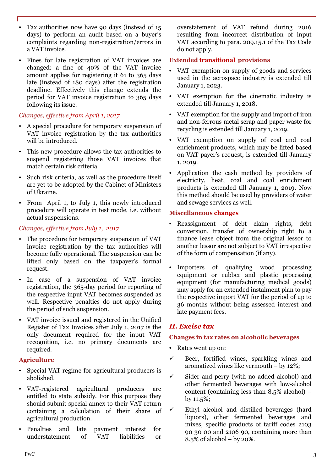- Tax authorities now have 90 days (instead of 15 days) to perform an audit based on a buyer's complaints regarding non-registration/errors in a VAT invoice.
- Fines for late registration of VAT invoices are changed: a fine of 40% of the VAT invoice amount applies for registering it 61 to 365 days late (instead of 180 days) after the registration deadline. Effectively this change extends the period for VAT invoice registration to 365 days following its issue.

# *Changes, effective from April 1, 2017*

- A special procedure for temporary suspension of VAT invoice registration by the tax authorities will be introduced.
- This new procedure allows the tax authorities to suspend registering those VAT invoices that match certain risk criteria.
- Such risk criteria, as well as the procedure itself are yet to be adopted by the Cabinet of Ministers of Ukraine.
- From April 1, to July 1, this newly introduced procedure will operate in test mode, i.e. without actual suspensions.

# *Changes, effective from July 1, 2017*

- The procedure for temporary suspension of VAT invoice registration by the tax authorities will become fully operational. The suspension can be lifted only based on the taxpayer's formal request.
- In case of a suspension of VAT invoice registration, the 365-day period for reporting of the respective input VAT becomes suspended as well. Respective penalties do not apply during the period of such suspension.
- VAT invoice issued and registered in the Unified Register of Tax Invoices after July 1, 2017 is the only document required for the input VAT recognition, i.e. no primary documents are required.

## **Agriculture**

- Special VAT regime for agricultural producers is abolished.
- VAT-registered agricultural producers are entitled to state subsidy. For this purpose they should submit special annex to their VAT return containing a calculation of their share of agricultural production.
- Penalties and late payment interest for understatement of VAT liabilities or

overstatement of VAT refund during 2016 resulting from incorrect distribution of input VAT according to para. 209.15.1 of the Tax Code do not apply.

#### **Extended transitional provisions**

- VAT exemption on supply of goods and services used in the aerospace industry is extended till January 1, 2023.
- VAT exemption for the cinematic industry is extended till January 1, 2018.
- VAT exemption for the supply and import of iron and non-ferrous metal scrap and paper waste for recycling is extended till January 1, 2019.
- VAT exemption on supply of coal and coal enrichment products, which may be lifted based on VAT payer's request, is extended till January 1, 2019.
- Application the cash method by providers of electricity, heat, coal and coal enrichment products is extended till January 1, 2019. Now this method should be used by providers of water and sewage services as well.

#### **Miscellaneous changes**

- Reassignment of debt claim rights, debt conversion, transfer of ownership right to a finance lease object from the original lessor to another lessor are not subject to VAT irrespective of the form of compensation (if any).
- Importers of qualifying wood processing equipment or rubber and plastic processing equipment (for manufacturing medical goods) may apply for an extended instalment plan to pay the respective import VAT for the period of up to 36 months without being assessed interest and late payment fees.

# *II. Excise tax*

## **Changes in tax rates on alcoholic beverages**

- Rates went up on:
- $\checkmark$  Beer, fortified wines, sparkling wines and aromatized wines like vermouth – by 12%;
- $\checkmark$  Sider and perry (with no added alcohol) and other fermented beverages with low-alcohol content (containing less than 8.5% alcohol) – by 11.5%;
- $\checkmark$  Ethyl alcohol and distilled beverages (hard liquors), other fermented beverages and mixes, specific products of tariff codes 2103 90 30 00 and 2106 90, containing more than 8.5% of alcohol – by 20%.